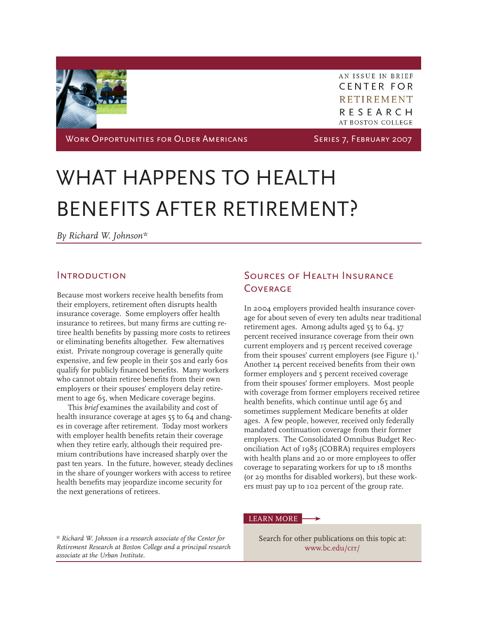

AN ISSUE IN BRIEF **CENTER FOR RETIREMENT** RESEARCH **AT BOSTON COLLEGE** 

WORK OPPORTUNITIES FOR OLDER AMERICANS SERIES 7, FEBRUARY 2007

# WHAT HAPPENS TO HEALTH BENEFITS AFTER RETIREMENT?

*By Richard W. Johnson\**

#### **INTRODUCTION**

Because most workers receive health benefits from their employers, retirement often disrupts health insurance coverage. Some employers offer health insurance to retirees, but many firms are cutting retiree health benefits by passing more costs to retirees or eliminating benefits altogether. Few alternatives exist. Private nongroup coverage is generally quite expensive, and few people in their 50s and early 60s qualify for publicly financed benefits. Many workers who cannot obtain retiree benefits from their own employers or their spouses' employers delay retirement to age 65, when Medicare coverage begins.

This *brief* examines the availability and cost of health insurance coverage at ages 55 to 64 and changes in coverage after retirement. Today most workers with employer health benefits retain their coverage when they retire early, although their required premium contributions have increased sharply over the past ten years. In the future, however, steady declines in the share of younger workers with access to retiree health benefits may jeopardize income security for the next generations of retirees.

*\* Richard W. Johnson is a research associate of the Center for Retirement Research at Boston College and a principal research associate at the Urban Institute.*

# Sources of Health Insurance **COVERAGE**

In 2004 employers provided health insurance coverage for about seven of every ten adults near traditional retirement ages. Among adults aged 55 to 64, 37 percent received insurance coverage from their own current employers and 15 percent received coverage from their spouses' current employers (see Figure  $I$ ).<sup>1</sup> Another 14 percent received benefits from their own former employers and 5 percent received coverage from their spouses' former employers. Most people with coverage from former employers received retiree health benefits, which continue until age 65 and sometimes supplement Medicare benefits at older ages. A few people, however, received only federally mandated continuation coverage from their former employers. The Consolidated Omnibus Budget Reconciliation Act of 1985 (COBRA) requires employers with health plans and 20 or more employees to offer coverage to separating workers for up to 18 months (or 29 months for disabled workers), but these workers must pay up to 102 percent of the group rate.

#### LEARN MORE

Search for other publications on this topic at: <www.bc.edu/crr/>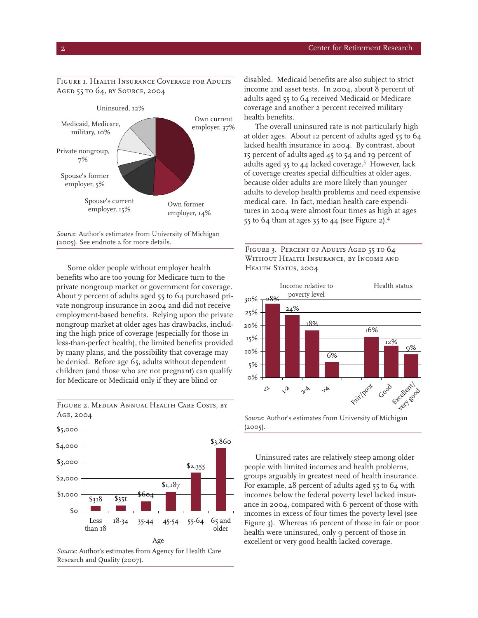#### Figure 1. Health Insurance Coverage for Adults Aged 55 to 64, by Source, 2004



*Source*: Author's estimates from University of Michigan (2005). See endnote 2 for more details.

Some older people without employer health benefits who are too young for Medicare turn to the private nongroup market or government for coverage. About 7 percent of adults aged 55 to 64 purchased private nongroup insurance in 2004 and did not receive employment-based benefits. Relying upon the private nongroup market at older ages has drawbacks, including the high price of coverage (especially for those in less-than-perfect health), the limited benefits provided by many plans, and the possibility that coverage may be denied. Before age 65, adults without dependent children (and those who are not pregnant) can qualify for Medicare or Medicaid only if they are blind or



FIGURE 2. MEDIAN ANNUAL HEALTH CARE COSTS, BY Age, 2004

disabled. Medicaid benefits are also subject to strict income and asset tests. In 2004, about 8 percent of adults aged 55 to 64 received Medicaid or Medicare coverage and another 2 percent received military health benefits.

The overall uninsured rate is not particularly high at older ages. About 12 percent of adults aged 55 to 64 lacked health insurance in 2004. By contrast, about 15 percent of adults aged 45 to 54 and 19 percent of adults aged 35 to 44 lacked coverage.<sup>3</sup> However, lack of coverage creates special difficulties at older ages, because older adults are more likely than younger adults to develop health problems and need expensive medical care. In fact, median health care expenditures in 2004 were almost four times as high at ages 55 to 64 than at ages 35 to 44 (see Figure 2).4

FIGURE 3. PERCENT OF ADULTS AGED 55 TO 64 Without Health Insurance, by Income and Health Status, 2004



*Source*: Author's estimates from University of Michigan (2005).

Uninsured rates are relatively steep among older people with limited incomes and health problems, groups arguably in greatest need of health insurance. For example, 28 percent of adults aged 55 to 64 with incomes below the federal poverty level lacked insurance in 2004, compared with 6 percent of those with incomes in excess of four times the poverty level (see Figure 3). Whereas 16 percent of those in fair or poor health were uninsured, only 9 percent of those in excellent or very good health lacked coverage.

*Source*: Author's estimates from Agency for Health Care Research and Quality (2007).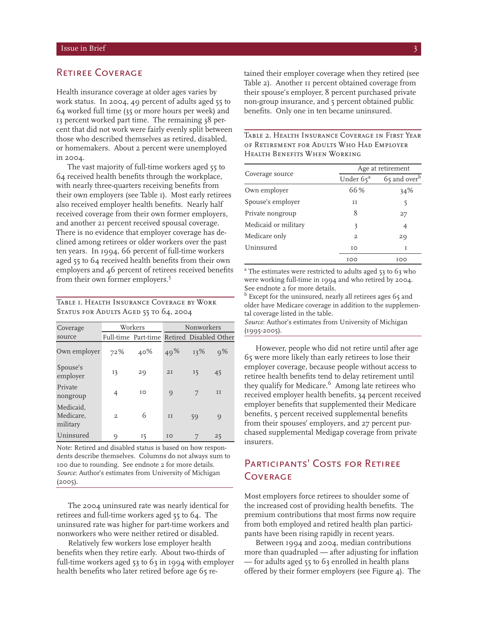#### RETIREE COVERAGE

Health insurance coverage at older ages varies by work status. In 2004, 49 percent of adults aged 55 to 64 worked full time (35 or more hours per week) and 13 percent worked part time. The remaining 38 percent that did not work were fairly evenly split between those who described themselves as retired, disabled, or homemakers. About 2 percent were unemployed in 2004.

The vast majority of full-time workers aged 55 to 64 received health benefits through the workplace, with nearly three-quarters receiving benefits from their own employers (see Table 1). Most early retirees also received employer health benefits. Nearly half received coverage from their own former employers, and another 21 percent received spousal coverage. There is no evidence that employer coverage has declined among retirees or older workers over the past ten years. In 1994, 66 percent of full-time workers aged 55 to 64 received health benefits from their own employers and 46 percent of retirees received benefits from their own former employers.<sup>5</sup>

Table 1. Health Insurance Coverage by Work STATUS FOR ADULTS AGED 55 TO 64, 2004

| Coverage                           | Workers        |                                            | Nonworkers |     |         |
|------------------------------------|----------------|--------------------------------------------|------------|-----|---------|
| source                             |                | Full-time Part-time Retired Disabled Other |            |     |         |
| Own employer                       | 72%            | 40%                                        | 49%        | 13% | $0\%$   |
| Spouse's<br>employer               | 13             | 29                                         | 2I         | 15  | 45      |
| Private<br>nongroup                | 4              | IO                                         | 9          | 7   | II      |
| Medicaid.<br>Medicare.<br>military | $\mathfrak{D}$ | 6                                          | TT         | 59  | $\circ$ |
| Uninsured                          | O)             | 15                                         | IO         |     | 25      |

Note: Retired and disabled status is based on how respondents describe themselves. Columns do not always sum to 100 due to rounding. See endnote 2 for more details. *Source*: Author's estimates from University of Michigan  $(2005)$ .

The 2004 uninsured rate was nearly identical for retirees and full-time workers aged 55 to 64. The uninsured rate was higher for part-time workers and nonworkers who were neither retired or disabled.

Relatively few workers lose employer health benefits when they retire early. About two-thirds of full-time workers aged 53 to 63 in 1994 with employer health benefits who later retired before age 65 retained their employer coverage when they retired (see Table 2). Another 11 percent obtained coverage from their spouse's employer, 8 percent purchased private non-group insurance, and 5 percent obtained public benefits. Only one in ten became uninsured.

Table 2. Health Insurance Coverage in First Year of Retirement for Adults Who Had Employer Health Benefits When Working

|                      | Age at retirement     |                          |  |  |
|----------------------|-----------------------|--------------------------|--|--|
| Coverage source      | Under 65 <sup>a</sup> | 65 and over <sup>b</sup> |  |  |
| Own employer         | 66%                   | 34%                      |  |  |
| Spouse's employer    | TT                    | 5                        |  |  |
| Private nongroup     | 8                     | 27                       |  |  |
| Medicaid or military | 3                     | 4                        |  |  |
| Medicare only        | $\mathbf{2}$          | 29                       |  |  |
| Uninsured            | IO                    | T                        |  |  |
|                      | TOO                   | 100                      |  |  |

<sup>a</sup> The estimates were restricted to adults aged 53 to 63 who were working full-time in 1994 and who retired by 2004. See endnote 2 for more details.

<sup>b</sup> Except for the uninsured, nearly all retirees ages 65 and older have Medicare coverage in addition to the supplemental coverage listed in the table.

*Source*: Author's estimates from University of Michigan (1995-2005).

However, people who did not retire until after age 65 were more likely than early retirees to lose their employer coverage, because people without access to retiree health benefits tend to delay retirement until they qualify for Medicare.<sup>6</sup> Among late retirees who received employer health benefits, 34 percent received employer benefits that supplemented their Medicare benefits, 5 percent received supplemental benefits from their spouses' employers, and 27 percent purchased supplemental Medigap coverage from private insurers.

# PARTICIPANTS' COSTS FOR RETIREE **COVERAGE**

Most employers force retirees to shoulder some of the increased cost of providing health benefits. The premium contributions that most firms now require from both employed and retired health plan participants have been rising rapidly in recent years.

Between 1994 and 2004, median contributions more than quadrupled — after adjusting for inflation — for adults aged 55 to 63 enrolled in health plans offered by their former employers (see Figure 4). The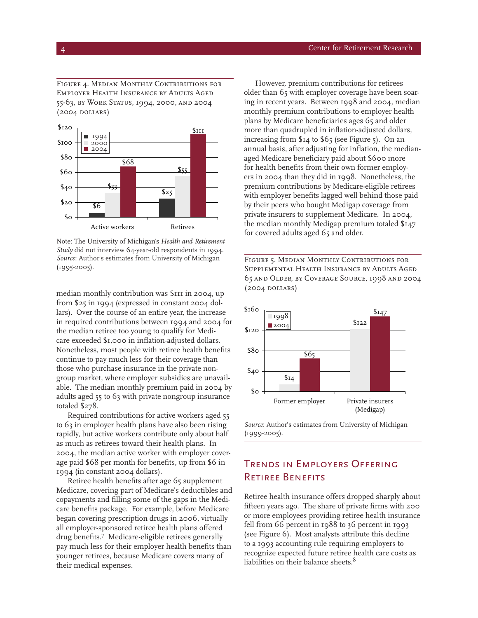Figure 4. Median Monthly Contributions for Employer Health Insurance by Adults Aged 55-63, by Work Status, 1994, 2000, and 2004 (2004 dollars)



Note: The University of Michigan's *Health and Retirement Study* did not interview 64-year-old respondents in 1994. *Source*: Author's estimates from University of Michigan (1995-2005).

median monthly contribution was \$111 in 2004, up from \$25 in 1994 (expressed in constant 2004 dollars). Over the course of an entire year, the increase in required contributions between 1994 and 2004 for the median retiree too young to qualify for Medicare exceeded \$1,000 in inflation-adjusted dollars. Nonetheless, most people with retiree health benefits continue to pay much less for their coverage than those who purchase insurance in the private nongroup market, where employer subsidies are unavailable. The median monthly premium paid in 2004 by adults aged 55 to 63 with private nongroup insurance totaled \$278.

Required contributions for active workers aged 55 to 63 in employer health plans have also been rising rapidly, but active workers contribute only about half as much as retirees toward their health plans. In 2004, the median active worker with employer coverage paid \$68 per month for benefits, up from \$6 in 1994 (in constant 2004 dollars).

Retiree health benefits after age 65 supplement Medicare, covering part of Medicare's deductibles and copayments and filling some of the gaps in the Medicare benefits package. For example, before Medicare began covering prescription drugs in 2006, virtually all employer-sponsored retiree health plans offered drug benefits.7 Medicare-eligible retirees generally pay much less for their employer health benefits than younger retirees, because Medicare covers many of their medical expenses.

However, premium contributions for retirees older than 65 with employer coverage have been soaring in recent years. Between 1998 and 2004, median monthly premium contributions to employer health plans by Medicare beneficiaries ages 65 and older more than quadrupled in inflation-adjusted dollars, increasing from \$14 to \$65 (see Figure 5). On an annual basis, after adjusting for inflation, the medianaged Medicare beneficiary paid about \$600 more for health benefits from their own former employers in 2004 than they did in 1998. Nonetheless, the premium contributions by Medicare-eligible retirees with employer benefits lagged well behind those paid by their peers who bought Medigap coverage from private insurers to supplement Medicare. In 2004, the median monthly Medigap premium totaled \$147 for covered adults aged 65 and older.

Figure 5. Median Monthly Contributions for Supplemental Health Insurance by Adults Aged 65 and Older, by Coverage Source, 1998 and 2004 (2004 dollars)



*Source*: Author's estimates from University of Michigan (1999-2005).

# Trends in Employers Offering Retiree Benefits

Retiree health insurance offers dropped sharply about fifteen years ago. The share of private firms with 200 or more employees providing retiree health insurance fell from 66 percent in 1988 to 36 percent in 1993 (see Figure 6). Most analysts attribute this decline to a 1993 accounting rule requiring employers to recognize expected future retiree health care costs as liabilities on their balance sheets.<sup>8</sup>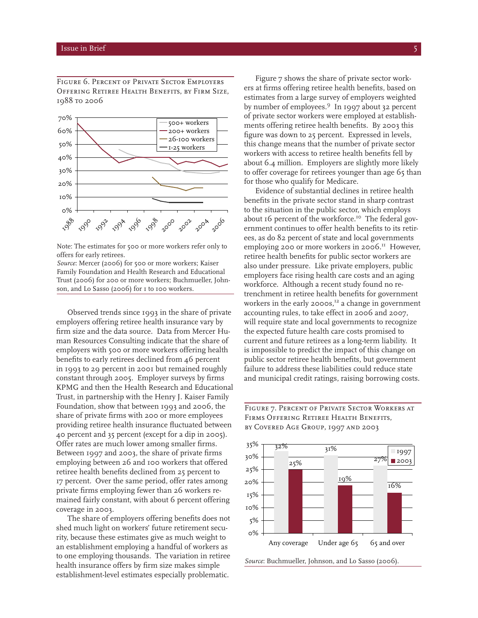Figure 6. Percent of Private Sector Employers Offering Retiree Health Benefits, by Firm Size, 1988 to 2006



Note: The estimates for 500 or more workers refer only to offers for early retirees.

*Source*: Mercer (2006) for 500 or more workers; Kaiser Family Foundation and Health Research and Educational Trust (2006) for 200 or more workers; Buchmueller, Johnson, and Lo Sasso (2006) for 1 to 100 workers.

Observed trends since 1993 in the share of private employers offering retiree health insurance vary by firm size and the data source. Data from Mercer Human Resources Consulting indicate that the share of employers with 500 or more workers offering health benefits to early retirees declined from 46 percent in 1993 to 29 percent in 2001 but remained roughly constant through 2005. Employer surveys by firms KPMG and then the Health Research and Educational Trust, in partnership with the Henry J. Kaiser Family Foundation, show that between 1993 and 2006, the share of private firms with 200 or more employees providing retiree health insurance fluctuated between 40 percent and 35 percent (except for a dip in 2005). Offer rates are much lower among smaller firms. Between 1997 and 2003, the share of private firms employing between 26 and 100 workers that offered retiree health benefits declined from 25 percent to 17 percent. Over the same period, offer rates among private firms employing fewer than 26 workers remained fairly constant, with about 6 percent offering coverage in 2003.

The share of employers offering benefits does not shed much light on workers' future retirement security, because these estimates give as much weight to an establishment employing a handful of workers as to one employing thousands. The variation in retiree health insurance offers by firm size makes simple establishment-level estimates especially problematic.

Figure 7 shows the share of private sector workers at firms offering retiree health benefits, based on estimates from a large survey of employers weighted by number of employees.9 In 1997 about 32 percent of private sector workers were employed at establishments offering retiree health benefits. By 2003 this figure was down to 25 percent. Expressed in levels, this change means that the number of private sector workers with access to retiree health benefits fell by about 6.4 million. Employers are slightly more likely to offer coverage for retirees younger than age 65 than for those who qualify for Medicare.

Evidence of substantial declines in retiree health benefits in the private sector stand in sharp contrast to the situation in the public sector, which employs about 16 percent of the workforce.<sup>10</sup> The federal government continues to offer health benefits to its retirees, as do 82 percent of state and local governments employing 200 or more workers in 2006.<sup>11</sup> However, retiree health benefits for public sector workers are also under pressure. Like private employers, public employers face rising health care costs and an aging workforce. Although a recent study found no retrenchment in retiree health benefits for government workers in the early  $2000s$ ,<sup>12</sup> a change in government accounting rules, to take effect in 2006 and 2007, will require state and local governments to recognize the expected future health care costs promised to current and future retirees as a long-term liability. It is impossible to predict the impact of this change on public sector retiree health benefits, but government failure to address these liabilities could reduce state and municipal credit ratings, raising borrowing costs.

Figure 7. Percent of Private Sector Workers at Firms Offering Retiree Health Benefits, by Covered Age Group, 1997 and 2003

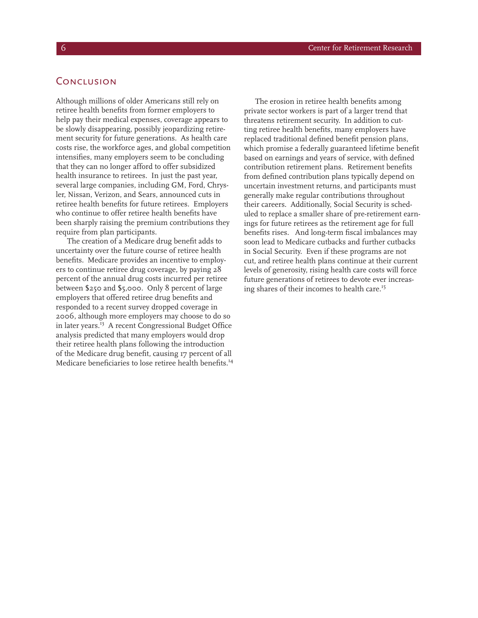### **CONCLUSION**

Although millions of older Americans still rely on retiree health benefits from former employers to help pay their medical expenses, coverage appears to be slowly disappearing, possibly jeopardizing retirement security for future generations. As health care costs rise, the workforce ages, and global competition intensifies, many employers seem to be concluding that they can no longer afford to offer subsidized health insurance to retirees. In just the past year, several large companies, including GM, Ford, Chrysler, Nissan, Verizon, and Sears, announced cuts in retiree health benefits for future retirees. Employers who continue to offer retiree health benefits have been sharply raising the premium contributions they require from plan participants.

The creation of a Medicare drug benefit adds to uncertainty over the future course of retiree health benefits. Medicare provides an incentive to employers to continue retiree drug coverage, by paying 28 percent of the annual drug costs incurred per retiree between \$250 and \$5,000. Only 8 percent of large employers that offered retiree drug benefits and responded to a recent survey dropped coverage in 2006, although more employers may choose to do so in later years.<sup>13</sup> A recent Congressional Budget Office analysis predicted that many employers would drop their retiree health plans following the introduction of the Medicare drug benefit, causing 17 percent of all Medicare beneficiaries to lose retiree health benefits.<sup>14</sup>

The erosion in retiree health benefits among private sector workers is part of a larger trend that threatens retirement security. In addition to cutting retiree health benefits, many employers have replaced traditional defined benefit pension plans, which promise a federally guaranteed lifetime benefit based on earnings and years of service, with defined contribution retirement plans. Retirement benefits from defined contribution plans typically depend on uncertain investment returns, and participants must generally make regular contributions throughout their careers. Additionally, Social Security is scheduled to replace a smaller share of pre-retirement earnings for future retirees as the retirement age for full benefits rises. And long-term fiscal imbalances may soon lead to Medicare cutbacks and further cutbacks in Social Security. Even if these programs are not cut, and retiree health plans continue at their current levels of generosity, rising health care costs will force future generations of retirees to devote ever increasing shares of their incomes to health care.<sup>15</sup>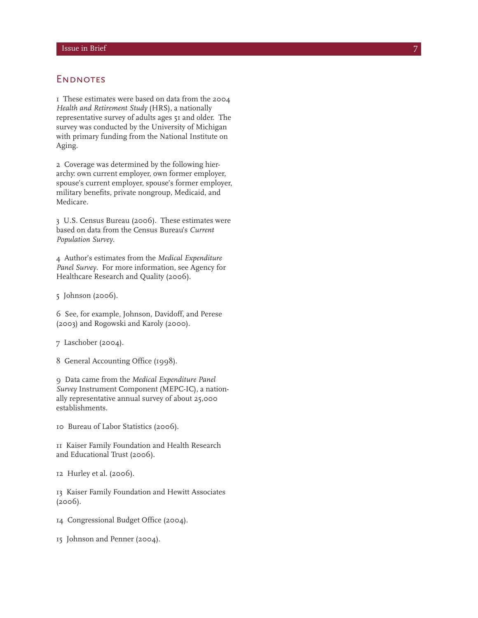#### **ENDNOTES**

1 These estimates were based on data from the 2004 *Health and Retirement Study* (HRS), a nationally representative survey of adults ages 51 and older. The survey was conducted by the University of Michigan with primary funding from the National Institute on Aging.

2 Coverage was determined by the following hierarchy: own current employer, own former employer, spouse's current employer, spouse's former employer, military benefits, private nongroup, Medicaid, and Medicare.

3 U.S. Census Bureau (2006). These estimates were based on data from the Census Bureau's *Current Population Survey* .

4 Author's estimates from the *Medical Expenditure Panel Survey*. For more information, see Agency for Healthcare Research and Quality (2006).

5 Johnson (2006).

6 See, for example, Johnson, Davidoff, and Perese (2003) and Rogowski and Karoly (2000).

7 Laschober (2004).

8 General Accounting Office (1998).

9 Data came from the *Medical Expenditure Panel Survey* Instrument Component (MEPC-IC), a nation ally representative annual survey of about 25,000 establishments.

10 Bureau of Labor Statistics (2006).

11 Kaiser Family Foundation and Health Research and Educational Trust (2006).

12 Hurley et al. (2006).

13 Kaiser Family Foundation and Hewitt Associates (2006).

- 14 Congressional Budget Office (2004).
- 15 Johnson and Penner (2004).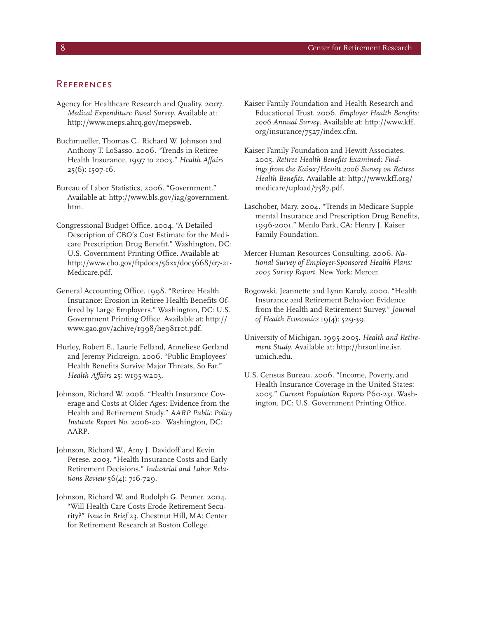#### **REFERENCES**

- Agency for Healthcare Research and Quality. 2007. *Medical Expenditure Panel Survey*. Available at: http://www.meps.ahrq.gov/mepsweb.
- Buchmueller, Thomas C., Richard W. Johnson and Anthony T. LoSasso. 2006. "Trends in Retiree Health Insurance, 1997 to 2003." *Health Affairs* 25(6): 1507-16.
- Bureau of Labor Statistics, 2006. "Government." Available at: http://www.bls.gov/iag/government. htm.
- Congressional Budget Office. 2004. "A Detailed Description of CBO's Cost Estimate for the Medicare Prescription Drug Benefit." Washington, DC: U.S. Government Printing Office. Available at: http://www.cbo.gov/ftpdocs/56xx/doc5668/07-21-Medicare.pdf.
- General Accounting Office. 1998. "Retiree Health Insurance: Erosion in Retiree Health Benefits Offered by Large Employers." Washington, DC: U.S. Government Printing Office. Available at: http:// www.gao.gov/achive/1998/he98110t.pdf.
- Hurley, Robert E., Laurie Felland, Anneliese Gerland and Jeremy Pickreign. 2006. "Public Employees' Health Benefits Survive Major Threats, So Far." *Health Affairs* 25: w195-w203.
- Johnson, Richard W. 2006. "Health Insurance Coverage and Costs at Older Ages: Evidence from the Health and Retirement Study." *AARP Public Policy Institute Report No.* 2006-20. Washington, DC: AARP.
- Johnson, Richard W., Amy J. Davidoff and Kevin Perese. 2003. "Health Insurance Costs and Early Retirement Decisions." *Industrial and Labor Relations Review* 56(4): 716-729.
- Johnson, Richard W. and Rudolph G. Penner. 2004. "Will Health Care Costs Erode Retirement Security?" *Issue in Brief* 23. Chestnut Hill, MA: Center for Retirement Research at Boston College.
- Kaiser Family Foundation and Health Research and Educational Trust. 2006. *Employer Health Benefits: 2006 Annual Survey*. Available at: http://www.kff. org/insurance/7527/index.cfm.
- Kaiser Family Foundation and Hewitt Associates. 2005. *Retiree Health Benefits Examined: Findings from the Kaiser/Hewitt 2006 Survey on Retiree Health Benefits*. Available at: http://www.kff.org/ medicare/upload/7587.pdf.
- Laschober, Mary. 2004. "Trends in Medicare Supple mental Insurance and Prescription Drug Benefits, 1996-2001." Menlo Park, CA: Henry J. Kaiser Family Foundation.
- Mercer Human Resources Consulting. 2006. *National Survey of Employer-Sponsored Health Plans: 2005 Survey Report.* New York: Mercer.
- Rogowski, Jeannette and Lynn Karoly. 2000. "Health Insurance and Retirement Behavior: Evidence from the Health and Retirement Survey." *Journal of Health Economics* 19(4): 529-39.
- University of Michigan. 1995-2005. *Health and Retirement Study*. Available at: http://hrsonline.isr. umich.edu.
- U.S. Census Bureau. 2006. "Income, Poverty, and Health Insurance Coverage in the United States: 2005." *Current Population Reports* P60-231. Washington, DC: U.S. Government Printing Office.